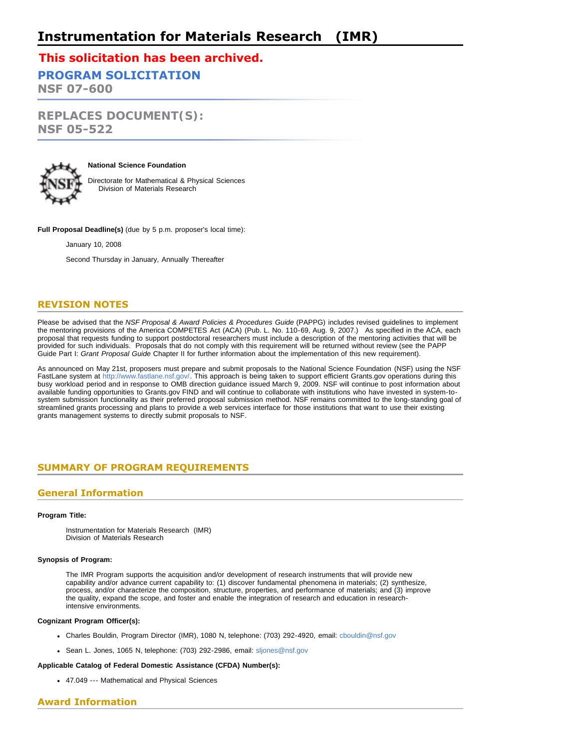# <span id="page-0-1"></span>**Instrumentation for Materials Research (IMR)**

## **This solicitation has been archived.**

**[PROGRAM SOLICITATION](#page-1-0)**

**NSF 07-600**

*REPLACES DOCUMENT(S):* **NSF 05-522**



#### **National Science Foundation**

Directorate for Mathematical & Physical Sciences Division of Materials Research

**Full Proposal Deadline(s)** (due by 5 p.m. proposer's local time):

January 10, 2008

Second Thursday in January, Annually Thereafter

## **REVISION NOTES**

Please be advised that the *NSF Proposal & Award Policies & Procedures Guide* (PAPPG) includes revised guidelines to implement the mentoring provisions of the America COMPETES Act (ACA) (Pub. L. No. 110-69, Aug. 9, 2007.) As specified in the ACA, each proposal that requests funding to support postdoctoral researchers must include a description of the mentoring activities that will be provided for such individuals. Proposals that do not comply with this requirement will be returned without review (see the PAPP Guide Part I: *Grant Proposal Guide* Chapter II for further information about the implementation of this new requirement).

As announced on May 21st, proposers must prepare and submit proposals to the National Science Foundation (NSF) using the NSF FastLane system at <http://www.fastlane.nsf.gov/>. This approach is being taken to support efficient Grants.gov operations during this busy workload period and in response to OMB direction guidance issued March 9, 2009. NSF will continue to post information about available funding opportunities to Grants.gov FIND and will continue to collaborate with institutions who have invested in system-tosystem submission functionality as their preferred proposal submission method. NSF remains committed to the long-standing goal of streamlined grants processing and plans to provide a web services interface for those institutions that want to use their existing grants management systems to directly submit proposals to NSF.

### <span id="page-0-0"></span>**SUMMARY OF PROGRAM REQUIREMENTS**

## **General Information**

#### **Program Title:**

Instrumentation for Materials Research (IMR) Division of Materials Research

#### **Synopsis of Program:**

The IMR Program supports the acquisition and/or development of research instruments that will provide new capability and/or advance current capability to: (1) discover fundamental phenomena in materials; (2) synthesize, process, and/or characterize the composition, structure, properties, and performance of materials; and (3) improve the quality, expand the scope, and foster and enable the integration of research and education in researchintensive environments.

#### **Cognizant Program Officer(s):**

- Charles Bouldin, Program Director (IMR), 1080 N, telephone: (703) 292-4920, email: [cbouldin@nsf.gov](mailto:cbouldin@nsf.gov)
- Sean L. Jones, 1065 N, telephone: (703) 292-2986, email: [sljones@nsf.gov](mailto:sljones@nsf.gov)

### **Applicable Catalog of Federal Domestic Assistance (CFDA) Number(s):**

47.049 --- Mathematical and Physical Sciences

### **Award Information**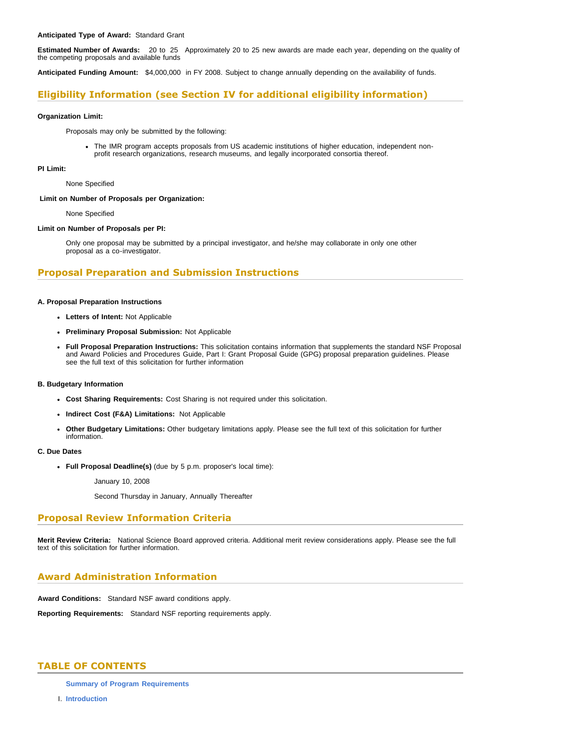**Estimated Number of Awards:** 20 to 25 Approximately 20 to 25 new awards are made each year, depending on the quality of the competing proposals and available funds

**Anticipated Funding Amount:** \$4,000,000 in FY 2008. Subject to change annually depending on the availability of funds.

### **Eligibility Information (see Section IV for additional eligibility information)**

#### **Organization Limit:**

Proposals may only be submitted by the following:

The IMR program accepts proposals from US academic institutions of higher education, independent nonprofit research organizations, research museums, and legally incorporated consortia thereof.

#### **PI Limit:**

None Specified

#### **Limit on Number of Proposals per Organization:**

None Specified

#### **Limit on Number of Proposals per PI:**

Only one proposal may be submitted by a principal investigator, and he/she may collaborate in only one other proposal as a co-investigator.

## **Proposal Preparation and Submission Instructions**

#### **A. Proposal Preparation Instructions**

- **Letters of Intent:** Not Applicable
- **Preliminary Proposal Submission:** Not Applicable
- **Full Proposal Preparation Instructions:** This solicitation contains information that supplements the standard NSF Proposal and Award Policies and Procedures Guide, Part I: Grant Proposal Guide (GPG) proposal preparation guidelines. Please see the full text of this solicitation for further information

#### **B. Budgetary Information**

- **Cost Sharing Requirements:** Cost Sharing is not required under this solicitation.
- **Indirect Cost (F&A) Limitations:** Not Applicable
- **Other Budgetary Limitations:** Other budgetary limitations apply. Please see the full text of this solicitation for further information.
- **C. Due Dates**
	- **Full Proposal Deadline(s)** (due by 5 p.m. proposer's local time):

January 10, 2008

Second Thursday in January, Annually Thereafter

### **Proposal Review Information Criteria**

**Merit Review Criteria:** National Science Board approved criteria. Additional merit review considerations apply. Please see the full text of this solicitation for further information.

## **Award Administration Information**

**Award Conditions:** Standard NSF award conditions apply.

<span id="page-1-0"></span>**Reporting Requirements:** Standard NSF reporting requirements apply.

### **TABLE OF CONTENTS**

**[Summary of Program Requirements](#page-0-0)**

I. **[Introduction](#page-2-0)**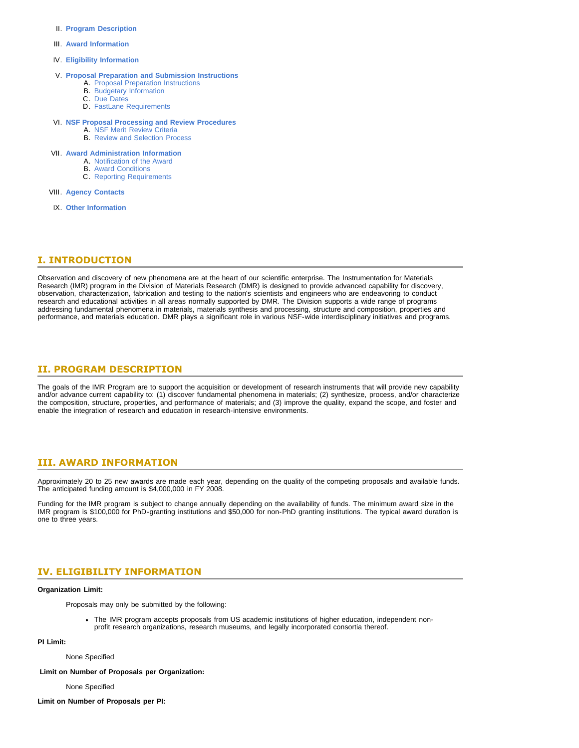- II. **[Program Description](#page-2-1)**
- III. **[Award Information](#page-2-2)**
- IV. **[Eligibility Information](#page-2-3)**
- V. **[Proposal Preparation and Submission Instructions](#page-3-0)**
	- A. [Proposal Preparation Instructions](#page-3-0)
		- B. [Budgetary Information](#page-5-0)
	- C. [Due Dates](#page-5-1) D. [FastLane Requirements](#page-5-2)
	-
- VI. **[NSF Proposal Processing and Review Procedures](#page-5-3)**
	- A. [NSF Merit Review Criteria](#page-5-4) B. [Review and Selection Process](#page-6-0)
	-
- VII. **[Award Administration Information](#page-6-1)** A. [Notification of the Award](#page-0-1)
	- B. [Award Conditions](#page-7-0)
	- C. [Reporting Requirements](#page-7-1)
- VIII. **[Agency Contacts](#page-7-2)**
- IX. **[Other Information](#page-7-3)**

## <span id="page-2-0"></span>**I. INTRODUCTION**

Observation and discovery of new phenomena are at the heart of our scientific enterprise. The Instrumentation for Materials Research (IMR) program in the Division of Materials Research (DMR) is designed to provide advanced capability for discovery, observation, characterization, fabrication and testing to the nation's scientists and engineers who are endeavoring to conduct research and educational activities in all areas normally supported by DMR. The Division supports a wide range of programs addressing fundamental phenomena in materials, materials synthesis and processing, structure and composition, properties and performance, and materials education. DMR plays a significant role in various NSF-wide interdisciplinary initiatives and programs.

### <span id="page-2-1"></span>**II. PROGRAM DESCRIPTION**

The goals of the IMR Program are to support the acquisition or development of research instruments that will provide new capability and/or advance current capability to: (1) discover fundamental phenomena in materials; (2) synthesize, process, and/or characterize the composition, structure, properties, and performance of materials; and (3) improve the quality, expand the scope, and foster and enable the integration of research and education in research-intensive environments.

### <span id="page-2-2"></span>**III. AWARD INFORMATION**

Approximately 20 to 25 new awards are made each year, depending on the quality of the competing proposals and available funds. The anticipated funding amount is \$4,000,000 in FY 2008.

<span id="page-2-3"></span>Funding for the IMR program is subject to change annually depending on the availability of funds. The minimum award size in the IMR program is \$100,000 for PhD-granting institutions and \$50,000 for non-PhD granting institutions. The typical award duration is one to three years.

### **IV. ELIGIBILITY INFORMATION**

#### **Organization Limit:**

Proposals may only be submitted by the following:

The IMR program accepts proposals from US academic institutions of higher education, independent nonprofit research organizations, research museums, and legally incorporated consortia thereof.

**PI Limit:**

None Specified

 **Limit on Number of Proposals per Organization:**

None Specified

**Limit on Number of Proposals per PI:**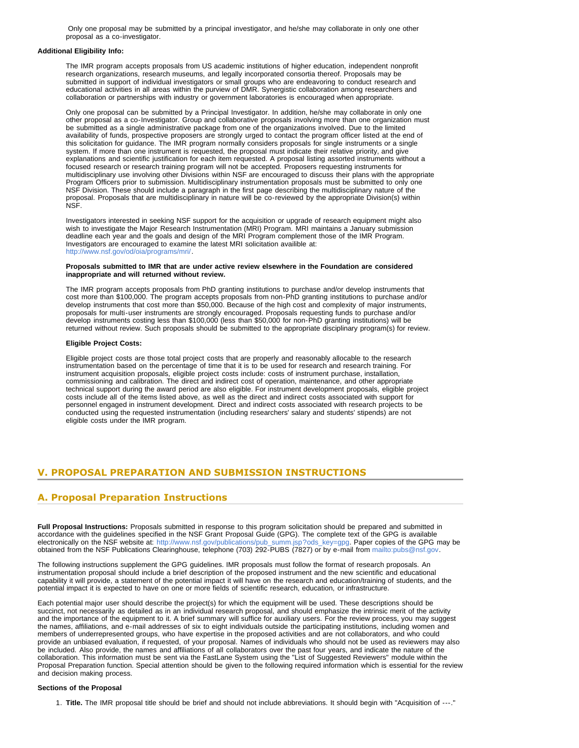Only one proposal may be submitted by a principal investigator, and he/she may collaborate in only one other proposal as a co-investigator.

#### **Additional Eligibility Info:**

The IMR program accepts proposals from US academic institutions of higher education, independent nonprofit research organizations, research museums, and legally incorporated consortia thereof. Proposals may be submitted in support of individual investigators or small groups who are endeavoring to conduct research and educational activities in all areas within the purview of DMR. Synergistic collaboration among researchers and collaboration or partnerships with industry or government laboratories is encouraged when appropriate.

Only one proposal can be submitted by a Principal Investigator. In addition, he/she may collaborate in only one other proposal as a co-Investigator. Group and collaborative proposals involving more than one organization must be submitted as a single administrative package from one of the organizations involved. Due to the limited availability of funds, prospective proposers are strongly urged to contact the program officer listed at the end of this solicitation for guidance. The IMR program normally considers proposals for single instruments or a single system. If more than one instrument is requested, the proposal must indicate their relative priority, and give explanations and scientific justification for each item requested. A proposal listing assorted instruments without a focused research or research training program will not be accepted. Proposers requesting instruments for multidisciplinary use involving other Divisions within NSF are encouraged to discuss their plans with the appropriate Program Officers prior to submission. Multidisciplinary instrumentation proposals must be submitted to only one NSF Division. These should include a paragraph in the first page describing the multidisciplinary nature of the proposal. Proposals that are multidisciplinary in nature will be co-reviewed by the appropriate Division(s) within NSF.

Investigators interested in seeking NSF support for the acquisition or upgrade of research equipment might also wish to investigate the Major Research Instrumentation (MRI) Program. MRI maintains a January submission deadline each year and the goals and design of the MRI Program complement those of the IMR Program. Investigators are encouraged to examine the latest MRI solicitation availible at: [http://www.nsf.gov/od/oia/programs/mri/.](http://www.nsf.gov/od/oia/programs/mri/)

#### **Proposals submitted to IMR that are under active review elsewhere in the Foundation are considered inappropriate and will returned without review.**

The IMR program accepts proposals from PhD granting institutions to purchase and/or develop instruments that cost more than \$100,000. The program accepts proposals from non-PhD granting institutions to purchase and/or develop instruments that cost more than \$50,000. Because of the high cost and complexity of major instruments, proposals for multi-user instruments are strongly encouraged. Proposals requesting funds to purchase and/or develop instruments costing less than \$100,000 (less than \$50,000 for non-PhD granting institutions) will be returned without review. Such proposals should be submitted to the appropriate disciplinary program(s) for review.

#### **Eligible Project Costs:**

Eligible project costs are those total project costs that are properly and reasonably allocable to the research instrumentation based on the percentage of time that it is to be used for research and research training. For instrument acquisition proposals, eligible project costs include: costs of instrument purchase, installation, commissioning and calibration. The direct and indirect cost of operation, maintenance, and other appropriate technical support during the award period are also eligible. For instrument development proposals, eligible project costs include all of the items listed above, as well as the direct and indirect costs associated with support for personnel engaged in instrument development. Direct and indirect costs associated with research projects to be conducted using the requested instrumentation (including researchers' salary and students' stipends) are not eligible costs under the IMR program.

## <span id="page-3-0"></span>**V. PROPOSAL PREPARATION AND SUBMISSION INSTRUCTIONS**

### **A. Proposal Preparation Instructions**

**Full Proposal Instructions:** Proposals submitted in response to this program solicitation should be prepared and submitted in accordance with the guidelines specified in the NSF Grant Proposal Guide (GPG). The complete text of the GPG is available electronically on the NSF website at: [http://www.nsf.gov/publications/pub\\_summ.jsp?ods\\_key=gpg.](http://www.nsf.gov/publications/pub_summ.jsp?ods_key=gpg) Paper copies of the GPG may be obtained from the NSF Publications Clearinghouse, telephone (703) 292-PUBS (7827) or by e-mail from [mailto:pubs@nsf.gov.](mailto:pubs@nsf.gov)

The following instructions supplement the GPG guidelines. IMR proposals must follow the format of research proposals. An instrumentation proposal should include a brief description of the proposed instrument and the new scientific and educational capability it will provide, a statement of the potential impact it will have on the research and education/training of students, and the potential impact it is expected to have on one or more fields of scientific research, education, or infrastructure.

Each potential major user should describe the project(s) for which the equipment will be used. These descriptions should be succinct, not necessarily as detailed as in an individual research proposal, and should emphasize the intrinsic merit of the activity and the importance of the equipment to it. A brief summary will suffice for auxiliary users. For the review process, you may suggest the names, affiliations, and e-mail addresses of six to eight individuals outside the participating institutions, including women and members of underrepresented groups, who have expertise in the proposed activities and are not collaborators, and who could provide an unbiased evaluation, if requested, of your proposal. Names of individuals who should not be used as reviewers may also be included. Also provide, the names and affiliations of all collaborators over the past four years, and indicate the nature of the collaboration. This information must be sent via the FastLane System using the "List of Suggested Reviewers" module within the Proposal Preparation function. Special attention should be given to the following required information which is essential for the review and decision making process.

#### **Sections of the Proposal**

1. **Title.** The IMR proposal title should be brief and should not include abbreviations. It should begin with "Acquisition of ---."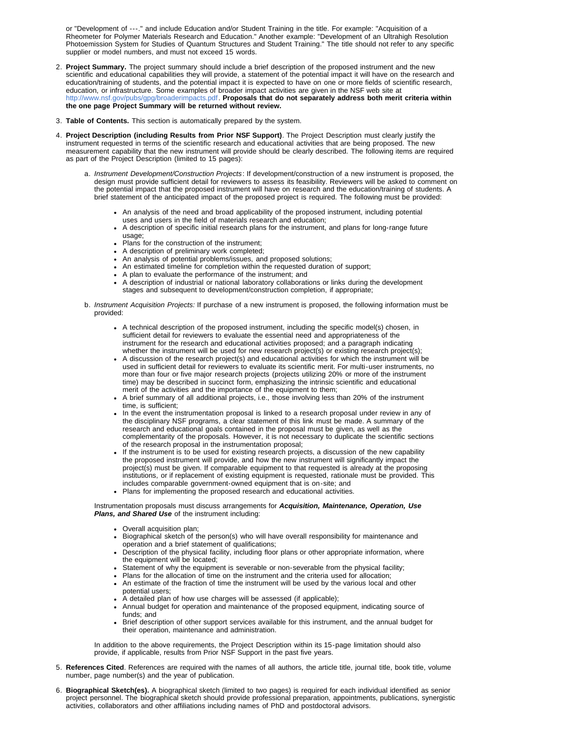or "Development of ---." and include Education and/or Student Training in the title. For example: "Acquisition of a Rheometer for Polymer Materials Research and Education." Another example: "Development of an Ultrahigh Resolution Photoemission System for Studies of Quantum Structures and Student Training." The title should not refer to any specific supplier or model numbers, and must not exceed 15 words.

- 2. **Project Summary.** The project summary should include a brief description of the proposed instrument and the new scientific and educational capabilities they will provide, a statement of the potential impact it will have on the research and education/training of students, and the potential impact it is expected to have on one or more fields of scientific research, [education, or infrastructure. Some examples of broader impact activities are given in the NSF web site at](athttp://www.nsf.gov/pubs/gpg/broaderimpacts.pdf) [http://w](http://www.nsf.gov/pubs/gpg/broaderimpacts.pdf)[ww.nsf.gov/pubs/gpg/broaderimpacts.pdf.](athttp://www.nsf.gov/pubs/gpg/broaderimpacts.pdf) **Proposals that do not separately address both merit criteria within the one page Project Summary will be returned without review.**
- 3. **Table of Contents.** This section is automatically prepared by the system.
- 4. **Project Description (including Results from Prior NSF Support)**. The Project Description must clearly justify the instrument requested in terms of the scientific research and educational activities that are being proposed. The new measurement capability that the new instrument will provide should be clearly described. The following items are required as part of the Project Description (limited to 15 pages):
	- a. *Instrument Development/Construction Projects*: If development/construction of a new instrument is proposed, the design must provide sufficient detail for reviewers to assess its feasibility. Reviewers will be asked to comment on the potential impact that the proposed instrument will have on research and the education/training of students. A brief statement of the anticipated impact of the proposed project is required. The following must be provided:
		- An analysis of the need and broad applicability of the proposed instrument, including potential uses and users in the field of materials research and education;
		- A description of specific initial research plans for the instrument, and plans for long-range future usage;
		- Plans for the construction of the instrument;
		- A description of preliminary work completed;
		- An analysis of potential problems/issues, and proposed solutions;
		- An estimated timeline for completion within the requested duration of support;
		- A plan to evaluate the performance of the instrument; and
		- A description of industrial or national laboratory collaborations or links during the development stages and subsequent to development/construction completion, if appropriate;
	- b. *Instrument Acquisition Projects:* If purchase of a new instrument is proposed, the following information must be provided:
		- A technical description of the proposed instrument, including the specific model(s) chosen, in sufficient detail for reviewers to evaluate the essential need and appropriateness of the instrument for the research and educational activities proposed; and a paragraph indicating whether the instrument will be used for new research project(s) or existing research project(s);
		- A discussion of the research project(s) and educational activities for which the instrument will be used in sufficient detail for reviewers to evaluate its scientific merit. For multi-user instruments, no more than four or five major research projects (projects utilizing 20% or more of the instrument time) may be described in succinct form, emphasizing the intrinsic scientific and educational merit of the activities and the importance of the equipment to them;
		- A brief summary of all additional projects, i.e., those involving less than 20% of the instrument time, is sufficient;
		- In the event the instrumentation proposal is linked to a research proposal under review in any of the disciplinary NSF programs, a clear statement of this link must be made. A summary of the research and educational goals contained in the proposal must be given, as well as the complementarity of the proposals. However, it is not necessary to duplicate the scientific sections of the research proposal in the instrumentation proposal;
		- If the instrument is to be used for existing research projects, a discussion of the new capability the proposed instrument will provide, and how the new instrument will significantly impact the project(s) must be given. If comparable equipment to that requested is already at the proposing institutions, or if replacement of existing equipment is requested, rationale must be provided. This includes comparable government-owned equipment that is on-site; and
		- Plans for implementing the proposed research and educational activities.

Instrumentation proposals must discuss arrangements for *Acquisition, Maintenance, Operation, Use Plans, and Shared Use* of the instrument including:

- Overall acquisition plan;
- Biographical sketch of the person(s) who will have overall responsibility for maintenance and operation and a brief statement of qualifications;
- Description of the physical facility, including floor plans or other appropriate information, where the equipment will be located;
- Statement of why the equipment is severable or non-severable from the physical facility;
- Plans for the allocation of time on the instrument and the criteria used for allocation;
- An estimate of the fraction of time the instrument will be used by the various local and other potential users;
- A detailed plan of how use charges will be assessed (if applicable);
- Annual budget for operation and maintenance of the proposed equipment, indicating source of funds; and
- Brief description of other support services available for this instrument, and the annual budget for their operation, maintenance and administration.

In addition to the above requirements, the Project Description within its 15-page limitation should also provide, if applicable, results from Prior NSF Support in the past five years.

- 5. **References Cited**. References are required with the names of all authors, the article title, journal title, book title, volume number, page number(s) and the year of publication.
- 6. **Biographical Sketch(es).** A biographical sketch (limited to two pages) is required for each individual identified as senior project personnel. The biographical sketch should provide professional preparation, appointments, publications, synergistic activities, collaborators and other affiliations including names of PhD and postdoctoral advisors.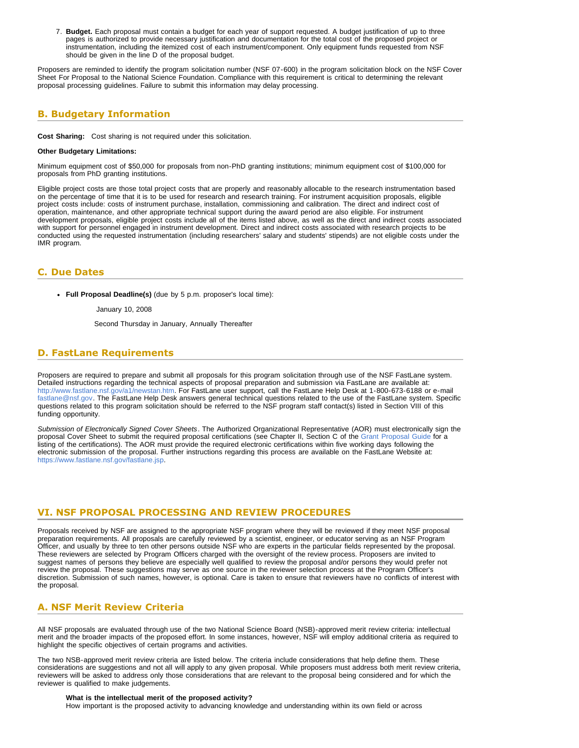7. **Budget.** Each proposal must contain a budget for each year of support requested. A budget justification of up to three pages is authorized to provide necessary justification and documentation for the total cost of the proposed project or instrumentation, including the itemized cost of each instrument/component. Only equipment funds requested from NSF should be given in the line D of the proposal budget.

Proposers are reminded to identify the program solicitation number (NSF 07-600) in the program solicitation block on the NSF Cover Sheet For Proposal to the National Science Foundation. Compliance with this requirement is critical to determining the relevant proposal processing guidelines. Failure to submit this information may delay processing.

## <span id="page-5-0"></span>**B. Budgetary Information**

**Cost Sharing:** Cost sharing is not required under this solicitation.

#### **Other Budgetary Limitations:**

Minimum equipment cost of \$50,000 for proposals from non-PhD granting institutions; minimum equipment cost of \$100,000 for proposals from PhD granting institutions.

Eligible project costs are those total project costs that are properly and reasonably allocable to the research instrumentation based on the percentage of time that it is to be used for research and research training. For instrument acquisition proposals, eligible project costs include: costs of instrument purchase, installation, commissioning and calibration. The direct and indirect cost of operation, maintenance, and other appropriate technical support during the award period are also eligible. For instrument development proposals, eligible project costs include all of the items listed above, as well as the direct and indirect costs associated with support for personnel engaged in instrument development. Direct and indirect costs associated with research projects to be conducted using the requested instrumentation (including researchers' salary and students' stipends) are not eligible costs under the IMR program.

### <span id="page-5-1"></span>**C. Due Dates**

**Full Proposal Deadline(s)** (due by 5 p.m. proposer's local time):

January 10, 2008

Second Thursday in January, Annually Thereafter

## <span id="page-5-2"></span>**D. FastLane Requirements**

Proposers are required to prepare and submit all proposals for this program solicitation through use of the NSF FastLane system. Detailed instructions regarding the technical aspects of proposal preparation and submission via FastLane are available at: [http://www.fastlane.nsf.gov/a1/newstan.htm. For FastLane user support, call the FastLane Help Desk at 1-800-673-6188 or e-mail](mailto:e-mailfastlane@nsf.gov) [fastlane@n](mailto:fastlane@nsf.gov)[sf.gov.](mailto:e-mailfastlane@nsf.gov) The FastLane Help Desk answers general technical questions related to the use of the FastLane system. Specific questions related to this program solicitation should be referred to the NSF program staff contact(s) listed in Section VIII of this funding opportunity.

*Submission of Electronically Signed Cover Sheets*. The Authorized Organizational Representative (AOR) must electronically sign the proposal Cover Sheet to submit the required proposal certifications (see Chapter II, Section C of the [Grant Proposal Guide](http://www.nsf.gov/publications/pub_summ.jsp?ods_key=gpg) for a listing of the certifications). The AOR must provide the required electronic certifications within five working days following the electronic submission of the proposal. Further instructions regarding this process are available on the FastLane Website at: [https://www.fastlane.nsf.gov/fastlane.jsp.](https://www.fastlane.nsf.gov/fastlane.jsp)

### <span id="page-5-3"></span>**VI. NSF PROPOSAL PROCESSING AND REVIEW PROCEDURES**

<span id="page-5-4"></span>Proposals received by NSF are assigned to the appropriate NSF program where they will be reviewed if they meet NSF proposal preparation requirements. All proposals are carefully reviewed by a scientist, engineer, or educator serving as an NSF Program Officer, and usually by three to ten other persons outside NSF who are experts in the particular fields represented by the proposal. These reviewers are selected by Program Officers charged with the oversight of the review process. Proposers are invited to suggest names of persons they believe are especially well qualified to review the proposal and/or persons they would prefer not review the proposal. These suggestions may serve as one source in the reviewer selection process at the Program Officer's discretion. Submission of such names, however, is optional. Care is taken to ensure that reviewers have no conflicts of interest with the proposal.

## **A. NSF Merit Review Criteria**

All NSF proposals are evaluated through use of the two National Science Board (NSB)-approved merit review criteria: intellectual merit and the broader impacts of the proposed effort. In some instances, however, NSF will employ additional criteria as required to highlight the specific objectives of certain programs and activities.

The two NSB-approved merit review criteria are listed below. The criteria include considerations that help define them. These considerations are suggestions and not all will apply to any given proposal. While proposers must address both merit review criteria, reviewers will be asked to address only those considerations that are relevant to the proposal being considered and for which the reviewer is qualified to make judgements.

#### **What is the intellectual merit of the proposed activity?**

How important is the proposed activity to advancing knowledge and understanding within its own field or across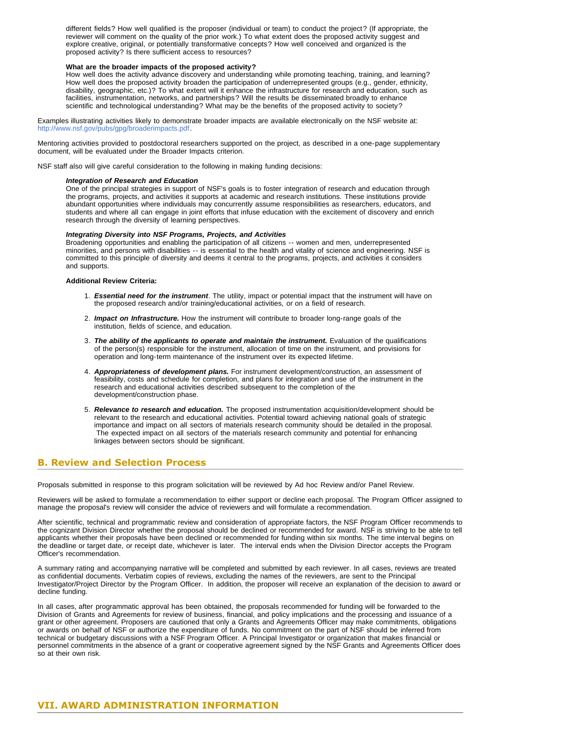different fields? How well qualified is the proposer (individual or team) to conduct the project? (If appropriate, the reviewer will comment on the quality of the prior work.) To what extent does the proposed activity suggest and explore creative, original, or potentially transformative concepts? How well conceived and organized is the proposed activity? Is there sufficient access to resources?

#### **What are the broader impacts of the proposed activity?**

How well does the activity advance discovery and understanding while promoting teaching, training, and learning? How well does the proposed activity broaden the participation of underrepresented groups (e.g., gender, ethnicity, disability, geographic, etc.)? To what extent will it enhance the infrastructure for research and education, such as facilities, instrumentation, networks, and partnerships? Will the results be disseminated broadly to enhance scientific and technological understanding? What may be the benefits of the proposed activity to society?

Examples illustrating activities likely to demonstrate broader impacts are available electronically on the NSF website at: <http://www.nsf.gov/pubs/gpg/broaderimpacts.pdf>.

Mentoring activities provided to postdoctoral researchers supported on the project, as described in a one-page supplementary document, will be evaluated under the Broader Impacts criterion.

NSF staff also will give careful consideration to the following in making funding decisions:

#### *Integration of Research and Education*

One of the principal strategies in support of NSF's goals is to foster integration of research and education through the programs, projects, and activities it supports at academic and research institutions. These institutions provide abundant opportunities where individuals may concurrently assume responsibilities as researchers, educators, and students and where all can engage in joint efforts that infuse education with the excitement of discovery and enrich research through the diversity of learning perspectives.

#### *Integrating Diversity into NSF Programs, Projects, and Activities*

Broadening opportunities and enabling the participation of all citizens -- women and men, underrepresented minorities, and persons with disabilities -- is essential to the health and vitality of science and engineering. NSF is committed to this principle of diversity and deems it central to the programs, projects, and activities it considers and supports.

#### **Additional Review Criteria:**

- 1. *Essential need for the instrument*. The utility, impact or potential impact that the instrument will have on the proposed research and/or training/educational activities, or on a field of research.
- 2. *Impact on Infrastructure.* How the instrument will contribute to broader long-range goals of the institution, fields of science, and education.
- 3. *The ability of the applicants to operate and maintain the instrument.* Evaluation of the qualifications of the person(s) responsible for the instrument, allocation of time on the instrument, and provisions for operation and long-term maintenance of the instrument over its expected lifetime.
- 4. *Appropriateness of development plans.* For instrument development/construction, an assessment of feasibility, costs and schedule for completion, and plans for integration and use of the instrument in the research and educational activities described subsequent to the completion of the development/construction phase.
- 5. *Relevance to research and education.* The proposed instrumentation acquisition/development should be relevant to the research and educational activities. Potential toward achieving national goals of strategic importance and impact on all sectors of materials research community should be detailed in the proposal. The expected impact on all sectors of the materials research community and potential for enhancing linkages between sectors should be significant.

### <span id="page-6-0"></span>**B. Review and Selection Process**

Proposals submitted in response to this program solicitation will be reviewed by Ad hoc Review and/or Panel Review.

Reviewers will be asked to formulate a recommendation to either support or decline each proposal. The Program Officer assigned to manage the proposal's review will consider the advice of reviewers and will formulate a recommendation.

After scientific, technical and programmatic review and consideration of appropriate factors, the NSF Program Officer recommends to the cognizant Division Director whether the proposal should be declined or recommended for award. NSF is striving to be able to tell applicants whether their proposals have been declined or recommended for funding within six months. The time interval begins on the deadline or target date, or receipt date, whichever is later. The interval ends when the Division Director accepts the Program Officer's recommendation.

A summary rating and accompanying narrative will be completed and submitted by each reviewer. In all cases, reviews are treated as confidential documents. Verbatim copies of reviews, excluding the names of the reviewers, are sent to the Principal Investigator/Project Director by the Program Officer. In addition, the proposer will receive an explanation of the decision to award or decline funding.

<span id="page-6-1"></span>In all cases, after programmatic approval has been obtained, the proposals recommended for funding will be forwarded to the Division of Grants and Agreements for review of business, financial, and policy implications and the processing and issuance of a grant or other agreement. Proposers are cautioned that only a Grants and Agreements Officer may make commitments, obligations or awards on behalf of NSF or authorize the expenditure of funds. No commitment on the part of NSF should be inferred from technical or budgetary discussions with a NSF Program Officer. A Principal Investigator or organization that makes financial or personnel commitments in the absence of a grant or cooperative agreement signed by the NSF Grants and Agreements Officer does so at their own risk.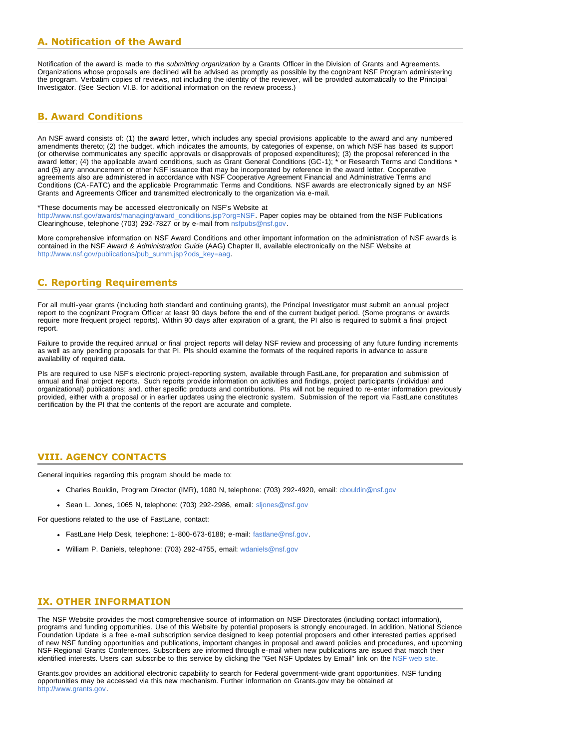## **A. Notification of the Award**

Notification of the award is made to *the submitting organization* by a Grants Officer in the Division of Grants and Agreements. Organizations whose proposals are declined will be advised as promptly as possible by the cognizant NSF Program administering the program. Verbatim copies of reviews, not including the identity of the reviewer, will be provided automatically to the Principal Investigator. (See Section VI.B. for additional information on the review process.)

## <span id="page-7-0"></span>**B. Award Conditions**

An NSF award consists of: (1) the award letter, which includes any special provisions applicable to the award and any numbered amendments thereto; (2) the budget, which indicates the amounts, by categories of expense, on which NSF has based its support (or otherwise communicates any specific approvals or disapprovals of proposed expenditures); (3) the proposal referenced in the award letter; (4) the applicable award conditions, such as Grant General Conditions (GC-1); \* or Research Terms and Conditions \* and (5) any announcement or other NSF issuance that may be incorporated by reference in the award letter. Cooperative agreements also are administered in accordance with NSF Cooperative Agreement Financial and Administrative Terms and Conditions (CA-FATC) and the applicable Programmatic Terms and Conditions. NSF awards are electronically signed by an NSF Grants and Agreements Officer and transmitted electronically to the organization via e-mail.

#### \*These documents may be accessed electronically on NSF's Website at

[http://www.nsf.gov/awards/managing/award\\_conditions.jsp?org=NSF](http://www.nsf.gov/awards/managing/award_conditions.jsp?org=NSF). Paper copies may be obtained from the NSF Publications Clearinghouse, telephone (703) 292-7827 or by e-mail from [nsfpubs@nsf.gov.](mailto:pubs@nsf.gov)

More comprehensive information on NSF Award Conditions and other important information on the administration of NSF awards is contained in the NSF *Award & Administration Guide* (AAG) Chapter II, available electronically on the NSF Website at [http://www.nsf.gov/publications/pub\\_summ.jsp?ods\\_key=aag.](http://www.nsf.gov/publications/pub_summ.jsp?ods_key=aag)

## <span id="page-7-1"></span>**C. Reporting Requirements**

For all multi-year grants (including both standard and continuing grants), the Principal Investigator must submit an annual project report to the cognizant Program Officer at least 90 days before the end of the current budget period. (Some programs or awards require more frequent project reports). Within 90 days after expiration of a grant, the PI also is required to submit a final project report.

Failure to provide the required annual or final project reports will delay NSF review and processing of any future funding increments as well as any pending proposals for that PI. PIs should examine the formats of the required reports in advance to assure availability of required data.

PIs are required to use NSF's electronic project-reporting system, available through FastLane, for preparation and submission of annual and final project reports. Such reports provide information on activities and findings, project participants (individual and organizational) publications; and, other specific products and contributions. PIs will not be required to re-enter information previously provided, either with a proposal or in earlier updates using the electronic system. Submission of the report via FastLane constitutes certification by the PI that the contents of the report are accurate and complete.

## <span id="page-7-2"></span>**VIII. AGENCY CONTACTS**

General inquiries regarding this program should be made to:

- Charles Bouldin, Program Director (IMR), 1080 N, telephone: (703) 292-4920, email: [cbouldin@nsf.gov](mailto:cbouldin@nsf.gov)
- Sean L. Jones, 1065 N, telephone: (703) 292-2986, email: [sljones@nsf.gov](mailto:sljones@nsf.gov)

For questions related to the use of FastLane, contact:

- FastLane Help Desk, telephone: 1-800-673-6188; e-mail: [fastlane@nsf.gov.](mailto:fastlane@nsf.gov)
- William P. Daniels, telephone: (703) 292-4755, email: [wdaniels@nsf.gov](mailto:wdaniels@nsf.gov)

## <span id="page-7-3"></span>**IX. OTHER INFORMATION**

The NSF Website provides the most comprehensive source of information on NSF Directorates (including contact information), programs and funding opportunities. Use of this Website by potential proposers is strongly encouraged. In addition, National Science Foundation Update is a free e-mail subscription service designed to keep potential proposers and other interested parties apprised of new NSF funding opportunities and publications, important changes in proposal and award policies and procedures, and upcoming NSF Regional Grants Conferences. Subscribers are informed through e-mail when new publications are issued that match their identified interests. Users can subscribe to this service by clicking the "Get NSF Updates by Email" link on the [NSF web site.](http://www.nsf.gov/)

Grants.gov provides an additional electronic capability to search for Federal government-wide grant opportunities. NSF funding opportunities may be accessed via this new mechanism. Further information on Grants.gov may be obtained at [http://www.grants.gov.](http://www.grants.gov/)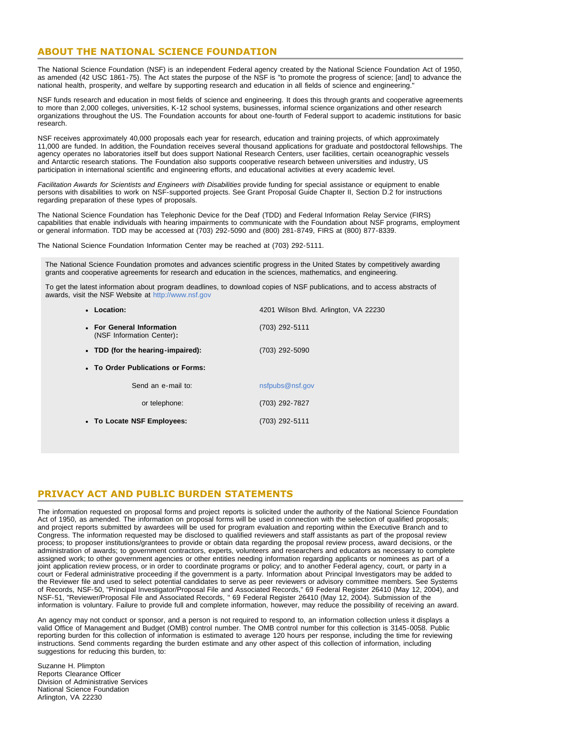## **ABOUT THE NATIONAL SCIENCE FOUNDATION**

The National Science Foundation (NSF) is an independent Federal agency created by the National Science Foundation Act of 1950, as amended (42 USC 1861-75). The Act states the purpose of the NSF is "to promote the progress of science; [and] to advance the national health, prosperity, and welfare by supporting research and education in all fields of science and engineering."

NSF funds research and education in most fields of science and engineering. It does this through grants and cooperative agreements to more than 2,000 colleges, universities, K-12 school systems, businesses, informal science organizations and other research organizations throughout the US. The Foundation accounts for about one-fourth of Federal support to academic institutions for basic research.

NSF receives approximately 40,000 proposals each year for research, education and training projects, of which approximately 11,000 are funded. In addition, the Foundation receives several thousand applications for graduate and postdoctoral fellowships. The agency operates no laboratories itself but does support National Research Centers, user facilities, certain oceanographic vessels and Antarctic research stations. The Foundation also supports cooperative research between universities and industry, US participation in international scientific and engineering efforts, and educational activities at every academic level.

*Facilitation Awards for Scientists and Engineers with Disabilities* provide funding for special assistance or equipment to enable persons with disabilities to work on NSF-supported projects. See Grant Proposal Guide Chapter II, Section D.2 for instructions regarding preparation of these types of proposals.

The National Science Foundation has Telephonic Device for the Deaf (TDD) and Federal Information Relay Service (FIRS) capabilities that enable individuals with hearing impairments to communicate with the Foundation about NSF programs, employment or general information. TDD may be accessed at (703) 292-5090 and (800) 281-8749, FIRS at (800) 877-8339.

The National Science Foundation Information Center may be reached at (703) 292-5111.

The National Science Foundation promotes and advances scientific progress in the United States by competitively awarding grants and cooperative agreements for research and education in the sciences, mathematics, and engineering.

To get the latest information about program deadlines, to download copies of NSF publications, and to access abstracts of awards, visit the NSF Website at [http://www.nsf.gov](http://www.nsf.gov/)

| 4201 Wilson Blvd. Arlington, VA 22230 |  |  |  |  |  |  |
|---------------------------------------|--|--|--|--|--|--|
| (703) 292-5111                        |  |  |  |  |  |  |
| (703) 292-5090                        |  |  |  |  |  |  |
|                                       |  |  |  |  |  |  |
| nsfpubs@nsf.gov                       |  |  |  |  |  |  |
| (703) 292-7827                        |  |  |  |  |  |  |
| (703) 292-5111                        |  |  |  |  |  |  |
|                                       |  |  |  |  |  |  |

## **PRIVACY ACT AND PUBLIC BURDEN STATEMENTS**

The information requested on proposal forms and project reports is solicited under the authority of the National Science Foundation Act of 1950, as amended. The information on proposal forms will be used in connection with the selection of qualified proposals; and project reports submitted by awardees will be used for program evaluation and reporting within the Executive Branch and to Congress. The information requested may be disclosed to qualified reviewers and staff assistants as part of the proposal review process; to proposer institutions/grantees to provide or obtain data regarding the proposal review process, award decisions, or the administration of awards; to government contractors, experts, volunteers and researchers and educators as necessary to complete assigned work; to other government agencies or other entities needing information regarding applicants or nominees as part of a joint application review process, or in order to coordinate programs or policy; and to another Federal agency, court, or party in a court or Federal administrative proceeding if the government is a party. Information about Principal Investigators may be added to the Reviewer file and used to select potential candidates to serve as peer reviewers or advisory committee members. See Systems of Records, NSF-50, "Principal Investigator/Proposal File and Associated Records," 69 Federal Register 26410 (May 12, 2004), and NSF-51, "Reviewer/Proposal File and Associated Records, " 69 Federal Register 26410 (May 12, 2004). Submission of the information is voluntary. Failure to provide full and complete information, however, may reduce the possibility of receiving an award.

An agency may not conduct or sponsor, and a person is not required to respond to, an information collection unless it displays a valid Office of Management and Budget (OMB) control number. The OMB control number for this collection is 3145-0058. Public reporting burden for this collection of information is estimated to average 120 hours per response, including the time for reviewing instructions. Send comments regarding the burden estimate and any other aspect of this collection of information, including suggestions for reducing this burden, to:

Suzanne H. Plimpton Reports Clearance Officer Division of Administrative Services National Science Foundation Arlington, VA 22230